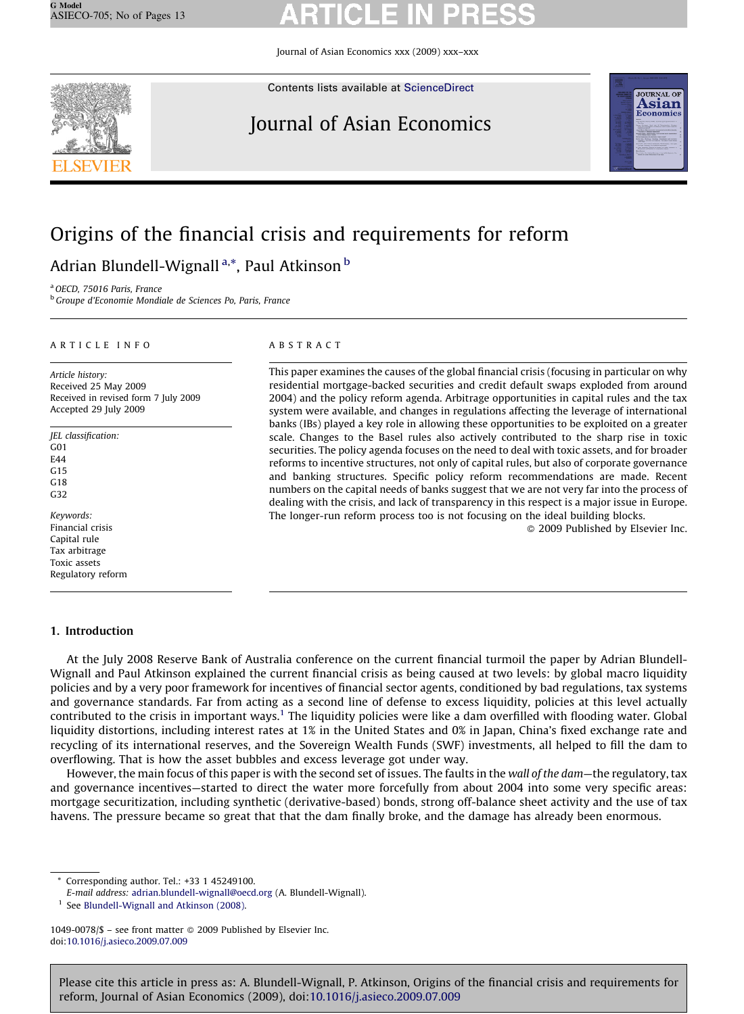Journal of Asian Economics xxx (2009) xxx–xxx



Contents lists available at [ScienceDirect](http://www.sciencedirect.com/science/journal/10490078)

# Journal of Asian Economics



# Origins of the financial crisis and requirements for reform

Adrian Blundell-Wignall <sup>a,</sup>\*, Paul Atkinson <sup>b</sup>

<sup>a</sup> OECD, 75016 Paris, France

b Groupe d'Economie Mondiale de Sciences Po, Paris, France

### ARTICLE INFO

Article history: Received 25 May 2009 Received in revised form 7 July 2009 Accepted 29 July 2009

JEL classification: G01 E44 G15 G18 G32

Keywords: Financial crisis Capital rule Tax arbitrage Toxic assets Regulatory reform

## 1. Introduction

## ABSTRACT

This paper examines the causes of the global financial crisis (focusing in particular on why residential mortgage-backed securities and credit default swaps exploded from around 2004) and the policy reform agenda. Arbitrage opportunities in capital rules and the tax system were available, and changes in regulations affecting the leverage of international banks (IBs) played a key role in allowing these opportunities to be exploited on a greater scale. Changes to the Basel rules also actively contributed to the sharp rise in toxic securities. The policy agenda focuses on the need to deal with toxic assets, and for broader reforms to incentive structures, not only of capital rules, but also of corporate governance and banking structures. Specific policy reform recommendations are made. Recent numbers on the capital needs of banks suggest that we are not very far into the process of dealing with the crisis, and lack of transparency in this respect is a major issue in Europe. The longer-run reform process too is not focusing on the ideal building blocks.

 $\odot$  2009 Published by Elsevier Inc.

At the July 2008 Reserve Bank of Australia conference on the current financial turmoil the paper by Adrian Blundell-Wignall and Paul Atkinson explained the current financial crisis as being caused at two levels: by global macro liquidity policies and by a very poor framework for incentives of financial sector agents, conditioned by bad regulations, tax systems and governance standards. Far from acting as a second line of defense to excess liquidity, policies at this level actually contributed to the crisis in important ways.<sup>1</sup> The liquidity policies were like a dam overfilled with flooding water. Global liquidity distortions, including interest rates at 1% in the United States and 0% in Japan, China's fixed exchange rate and recycling of its international reserves, and the Sovereign Wealth Funds (SWF) investments, all helped to fill the dam to overflowing. That is how the asset bubbles and excess leverage got under way.

However, the main focus of this paper is with the second set of issues. The faults in the wall of the dam—the regulatory, tax and governance incentives—started to direct the water more forcefully from about 2004 into some very specific areas: mortgage securitization, including synthetic (derivative-based) bonds, strong off-balance sheet activity and the use of tax havens. The pressure became so great that that the dam finally broke, and the damage has already been enormous.

\* Corresponding author. Tel.: +33 1 45249100.

<sup>1</sup> See [Blundell-Wignall and Atkinson \(2008\).](#page-12-0)

E-mail address: [adrian.blundell-wignall@oecd.org](mailto:adrian.blundell-wignall@oecd.org) (A. Blundell-Wignall).

<sup>1049-0078/\$ –</sup> see front matter © 2009 Published by Elsevier Inc. doi:[10.1016/j.asieco.2009.07.009](http://dx.doi.org/10.1016/j.asieco.2009.07.009)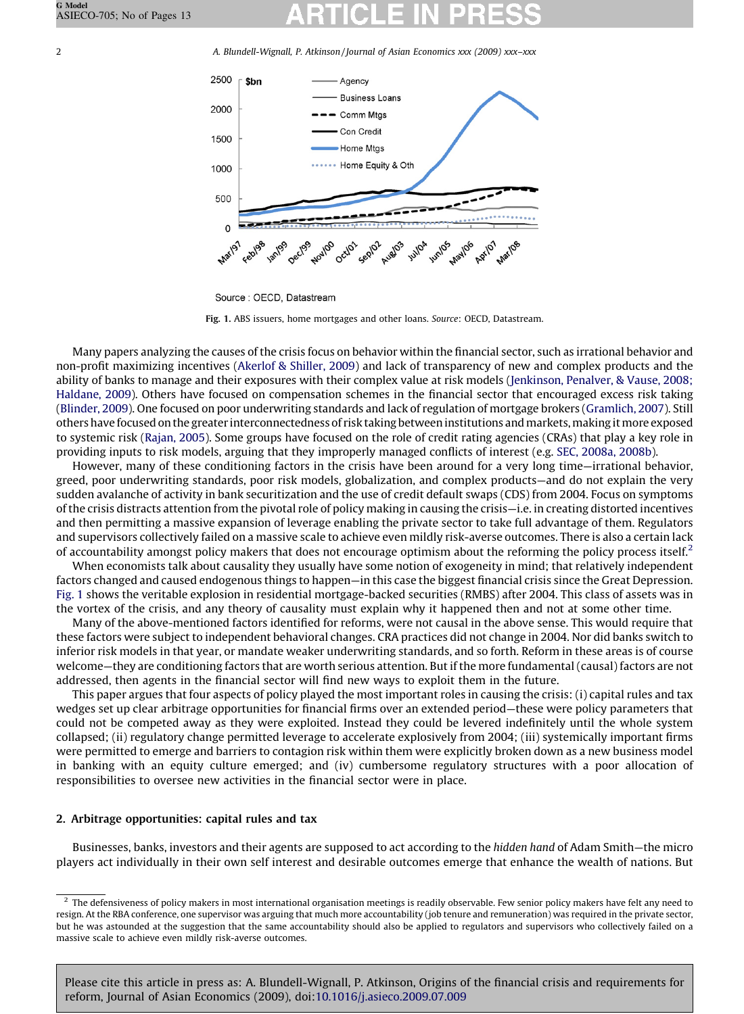2 A. Blundell-Wignall, P. Atkinson / Journal of Asian Economics xxx (2009) xxx-xxx



Source : OECD, Datastream

Fig. 1. ABS issuers, home mortgages and other loans. Source: OECD, Datastream.

Many papers analyzing the causes of the crisis focus on behavior within the financial sector, such as irrational behavior and non-profit maximizing incentives [\(Akerlof & Shiller, 2009\)](#page-11-0) and lack of transparency of new and complex products and the ability of banks to manage and their exposures with their complex value at risk models ([Jenkinson, Penalver, & Vause, 2008;](#page-12-0) [Haldane, 2009\)](#page-12-0). Others have focused on compensation schemes in the financial sector that encouraged excess risk taking [\(Blinder, 2009\)](#page-11-0). One focused on poor underwriting standards and lack of regulation of mortgage brokers [\(Gramlich, 2007](#page-12-0)). Still others have focused on the greater interconnectedness of risk taking between institutions andmarkets,making itmore exposed to systemic risk [\(Rajan, 2005](#page-12-0)). Some groups have focused on the role of credit rating agencies (CRAs) that play a key role in providing inputs to risk models, arguing that they improperly managed conflicts of interest (e.g. [SEC, 2008a, 2008b\)](#page-12-0).

However, many of these conditioning factors in the crisis have been around for a very long time—irrational behavior, greed, poor underwriting standards, poor risk models, globalization, and complex products—and do not explain the very sudden avalanche of activity in bank securitization and the use of credit default swaps (CDS) from 2004. Focus on symptoms of the crisis distracts attention from the pivotal role of policy making in causing the crisis—i.e. in creating distorted incentives and then permitting a massive expansion of leverage enabling the private sector to take full advantage of them. Regulators and supervisors collectively failed on a massive scale to achieve even mildly risk-averse outcomes. There is also a certain lack of accountability amongst policy makers that does not encourage optimism about the reforming the policy process itself. $2$ 

When economists talk about causality they usually have some notion of exogeneity in mind; that relatively independent factors changed and caused endogenous things to happen—in this case the biggest financial crisis since the Great Depression. Fig. 1 shows the veritable explosion in residential mortgage-backed securities (RMBS) after 2004. This class of assets was in the vortex of the crisis, and any theory of causality must explain why it happened then and not at some other time.

Many of the above-mentioned factors identified for reforms, were not causal in the above sense. This would require that these factors were subject to independent behavioral changes. CRA practices did not change in 2004. Nor did banks switch to inferior risk models in that year, or mandate weaker underwriting standards, and so forth. Reform in these areas is of course welcome—they are conditioning factors that are worth serious attention. But if the more fundamental (causal) factors are not addressed, then agents in the financial sector will find new ways to exploit them in the future.

This paper argues that four aspects of policy played the most important roles in causing the crisis: (i) capital rules and tax wedges set up clear arbitrage opportunities for financial firms over an extended period—these were policy parameters that could not be competed away as they were exploited. Instead they could be levered indefinitely until the whole system collapsed; (ii) regulatory change permitted leverage to accelerate explosively from 2004; (iii) systemically important firms were permitted to emerge and barriers to contagion risk within them were explicitly broken down as a new business model in banking with an equity culture emerged; and (iv) cumbersome regulatory structures with a poor allocation of responsibilities to oversee new activities in the financial sector were in place.

# 2. Arbitrage opportunities: capital rules and tax

Businesses, banks, investors and their agents are supposed to act according to the hidden hand of Adam Smith—the micro players act individually in their own self interest and desirable outcomes emerge that enhance the wealth of nations. But

<sup>&</sup>lt;sup>2</sup> The defensiveness of policy makers in most international organisation meetings is readily observable. Few senior policy makers have felt any need to resign. At the RBA conference, one supervisor was arguing that much more accountability (job tenure and remuneration) was required in the private sector, but he was astounded at the suggestion that the same accountability should also be applied to regulators and supervisors who collectively failed on a massive scale to achieve even mildly risk-averse outcomes.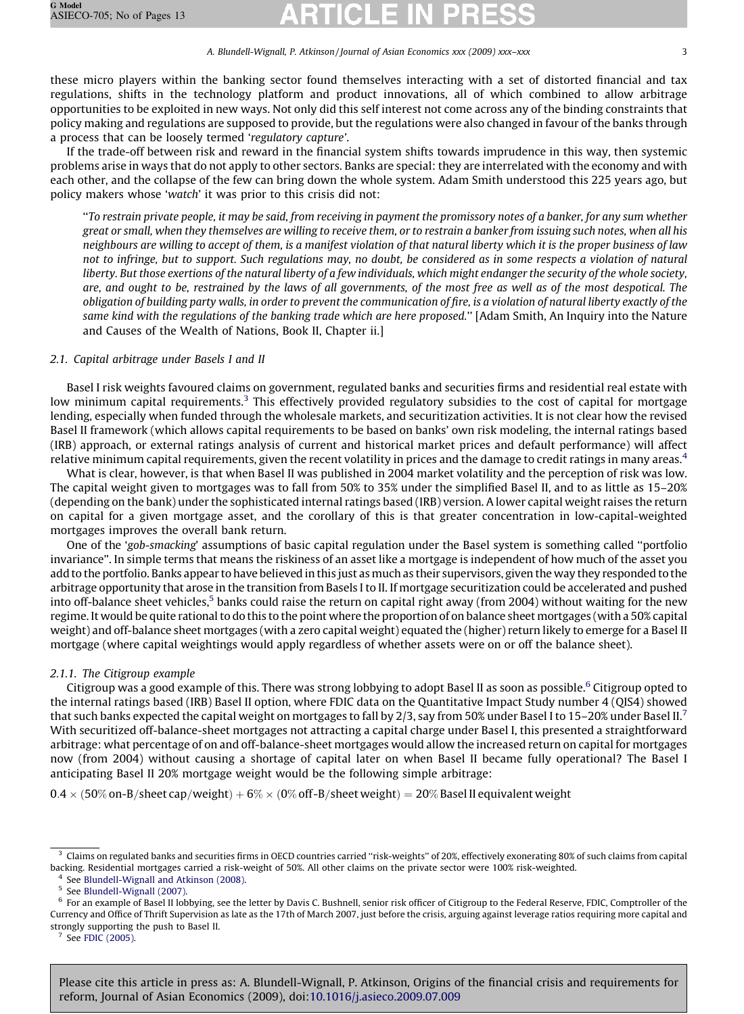these micro players within the banking sector found themselves interacting with a set of distorted financial and tax regulations, shifts in the technology platform and product innovations, all of which combined to allow arbitrage opportunities to be exploited in new ways. Not only did this self interest not come across any of the binding constraints that policy making and regulations are supposed to provide, but the regulations were also changed in favour of the banks through a process that can be loosely termed 'regulatory capture'.

If the trade-off between risk and reward in the financial system shifts towards imprudence in this way, then systemic problems arise in ways that do not apply to other sectors. Banks are special: they are interrelated with the economy and with each other, and the collapse of the few can bring down the whole system. Adam Smith understood this 225 years ago, but policy makers whose 'watch' it was prior to this crisis did not:

''To restrain private people, it may be said, from receiving in payment the promissory notes of a banker, for any sum whether great or small, when they themselves are willing to receive them, or to restrain a banker from issuing such notes, when all his neighbours are willing to accept of them, is a manifest violation of that natural liberty which it is the proper business of law not to infringe, but to support. Such regulations may, no doubt, be considered as in some respects a violation of natural liberty. But those exertions of the natural liberty of a few individuals, which might endanger the security of the whole society, are, and ought to be, restrained by the laws of all governments, of the most free as well as of the most despotical. The obligation of building party walls, in order to prevent the communication of fire, is a violation of natural liberty exactly of the same kind with the regulations of the banking trade which are here proposed.'' [Adam Smith, An Inquiry into the Nature and Causes of the Wealth of Nations, Book II, Chapter ii.]

### 2.1. Capital arbitrage under Basels I and II

Basel I risk weights favoured claims on government, regulated banks and securities firms and residential real estate with low minimum capital requirements.<sup>3</sup> This effectively provided regulatory subsidies to the cost of capital for mortgage lending, especially when funded through the wholesale markets, and securitization activities. It is not clear how the revised Basel II framework (which allows capital requirements to be based on banks' own risk modeling, the internal ratings based (IRB) approach, or external ratings analysis of current and historical market prices and default performance) will affect relative minimum capital requirements, given the recent volatility in prices and the damage to credit ratings in many areas.<sup>4</sup>

What is clear, however, is that when Basel II was published in 2004 market volatility and the perception of risk was low. The capital weight given to mortgages was to fall from 50% to 35% under the simplified Basel II, and to as little as 15–20% (depending on the bank) under the sophisticated internal ratings based (IRB) version. A lower capital weight raises the return on capital for a given mortgage asset, and the corollary of this is that greater concentration in low-capital-weighted mortgages improves the overall bank return.

One of the 'gob-smacking' assumptions of basic capital regulation under the Basel system is something called ''portfolio invariance''. In simple terms that means the riskiness of an asset like a mortgage is independent of how much of the asset you add to the portfolio. Banks appear to have believed in this just as much as their supervisors, given the way they responded to the arbitrage opportunity that arose in the transition from Basels I to II. If mortgage securitization could be accelerated and pushed into off-balance sheet vehicles,<sup>5</sup> banks could raise the return on capital right away (from 2004) without waiting for the new regime. It would be quite rational to do this to the point where the proportion of on balance sheet mortgages (with a 50% capital weight) and off-balance sheet mortgages (with a zero capital weight) equated the (higher) return likely to emerge for a Basel II mortgage (where capital weightings would apply regardless of whether assets were on or off the balance sheet).

### 2.1.1. The Citigroup example

Citigroup was a good example of this. There was strong lobbying to adopt Basel II as soon as possible.<sup>6</sup> Citigroup opted to the internal ratings based (IRB) Basel II option, where FDIC data on the Quantitative Impact Study number 4 (QIS4) showed that such banks expected the capital weight on mortgages to fall by 2/3, say from 50% under Basel I to 15–20% under Basel II.<sup>7</sup> With securitized off-balance-sheet mortgages not attracting a capital charge under Basel I, this presented a straightforward arbitrage: what percentage of on and off-balance-sheet mortgages would allow the increased return on capital for mortgages now (from 2004) without causing a shortage of capital later on when Basel II became fully operational? The Basel I anticipating Basel II 20% mortgage weight would be the following simple arbitrage:

0.4  $\times$  (50% on-B/sheet cap/weight)  $+$  6%  $\times$  (0% off-B/sheet weight)  $=$  20% Basel II equivalent weight

See [FDIC \(2005\)](#page-12-0).

<sup>&</sup>lt;sup>3</sup> Claims on regulated banks and securities firms in OECD countries carried "risk-weights" of 20%, effectively exonerating 80% of such claims from capital backing. Residential mortgages carried a risk-weight of 50%. All other claims on the private sector were 100% risk-weighted.

<sup>&</sup>lt;sup>4</sup> See [Blundell-Wignall and Atkinson \(2008\).](#page-12-0)

<sup>5</sup> See [Blundell-Wignall \(2007\).](#page-12-0)

<sup>6</sup> For an example of Basel II lobbying, see the letter by Davis C. Bushnell, senior risk officer of Citigroup to the Federal Reserve, FDIC, Comptroller of the Currency and Office of Thrift Supervision as late as the 17th of March 2007, just before the crisis, arguing against leverage ratios requiring more capital and strongly supporting the push to Basel II.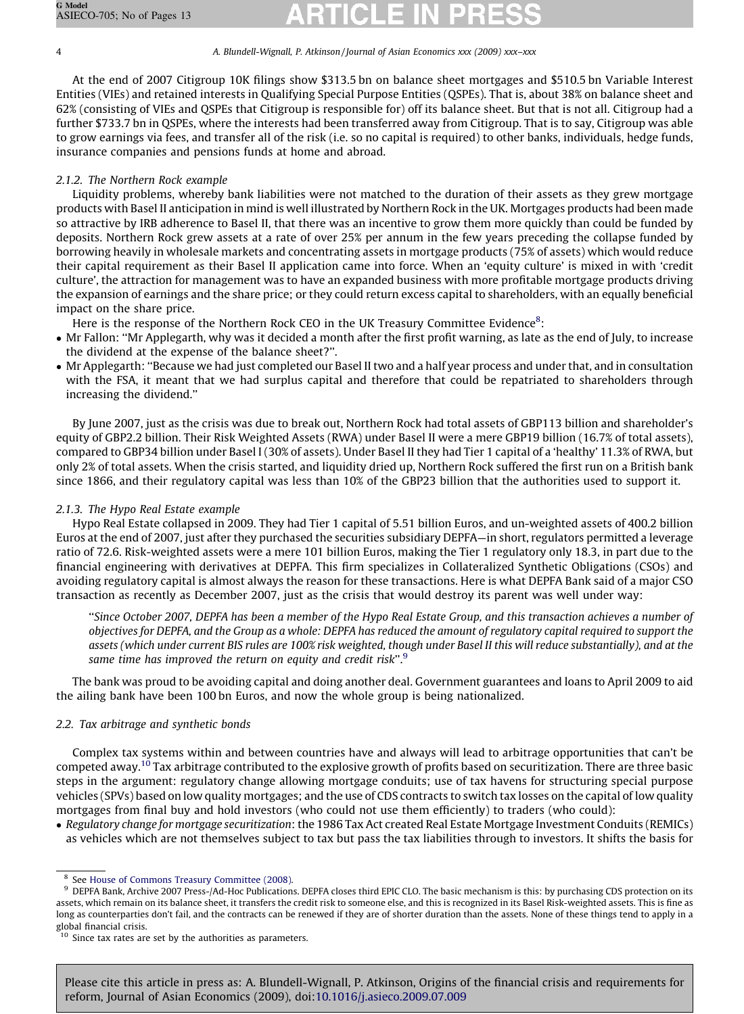At the end of 2007 Citigroup 10K filings show \$313.5 bn on balance sheet mortgages and \$510.5 bn Variable Interest Entities (VIEs) and retained interests in Qualifying Special Purpose Entities (QSPEs). That is, about 38% on balance sheet and 62% (consisting of VIEs and QSPEs that Citigroup is responsible for) off its balance sheet. But that is not all. Citigroup had a further \$733.7 bn in QSPEs, where the interests had been transferred away from Citigroup. That is to say, Citigroup was able to grow earnings via fees, and transfer all of the risk (i.e. so no capital is required) to other banks, individuals, hedge funds, insurance companies and pensions funds at home and abroad.

# 2.1.2. The Northern Rock example

Liquidity problems, whereby bank liabilities were not matched to the duration of their assets as they grew mortgage products with Basel II anticipation in mind is well illustrated by Northern Rock in the UK. Mortgages products had been made so attractive by IRB adherence to Basel II, that there was an incentive to grow them more quickly than could be funded by deposits. Northern Rock grew assets at a rate of over 25% per annum in the few years preceding the collapse funded by borrowing heavily in wholesale markets and concentrating assets in mortgage products (75% of assets) which would reduce their capital requirement as their Basel II application came into force. When an 'equity culture' is mixed in with 'credit culture', the attraction for management was to have an expanded business with more profitable mortgage products driving the expansion of earnings and the share price; or they could return excess capital to shareholders, with an equally beneficial impact on the share price.

Here is the response of the Northern Rock CEO in the UK Treasury Committee Evidence<sup>8</sup>:

- Mr Fallon: ''Mr Applegarth, why was it decided a month after the first profit warning, as late as the end of July, to increase the dividend at the expense of the balance sheet?''.
- Mr Applegarth: ''Because we had just completed our Basel II two and a half year process and under that, and in consultation with the FSA, it meant that we had surplus capital and therefore that could be repatriated to shareholders through increasing the dividend.''

By June 2007, just as the crisis was due to break out, Northern Rock had total assets of GBP113 billion and shareholder's equity of GBP2.2 billion. Their Risk Weighted Assets (RWA) under Basel II were a mere GBP19 billion (16.7% of total assets), compared to GBP34 billion under Basel I (30% of assets). Under Basel II they had Tier 1 capital of a 'healthy' 11.3% of RWA, but only 2% of total assets. When the crisis started, and liquidity dried up, Northern Rock suffered the first run on a British bank since 1866, and their regulatory capital was less than 10% of the GBP23 billion that the authorities used to support it.

# 2.1.3. The Hypo Real Estate example

Hypo Real Estate collapsed in 2009. They had Tier 1 capital of 5.51 billion Euros, and un-weighted assets of 400.2 billion Euros at the end of 2007, just after they purchased the securities subsidiary DEPFA—in short, regulators permitted a leverage ratio of 72.6. Risk-weighted assets were a mere 101 billion Euros, making the Tier 1 regulatory only 18.3, in part due to the financial engineering with derivatives at DEPFA. This firm specializes in Collateralized Synthetic Obligations (CSOs) and avoiding regulatory capital is almost always the reason for these transactions. Here is what DEPFA Bank said of a major CSO transaction as recently as December 2007, just as the crisis that would destroy its parent was well under way:

''Since October 2007, DEPFA has been a member of the Hypo Real Estate Group, and this transaction achieves a number of objectives for DEPFA, and the Group as a whole: DEPFA has reduced the amount of regulatory capital required to support the assets (which under current BIS rules are 100% risk weighted, though under Basel II this will reduce substantially), and at the same time has improved the return on equity and credit risk".<sup>9</sup>

The bank was proud to be avoiding capital and doing another deal. Government guarantees and loans to April 2009 to aid the ailing bank have been 100 bn Euros, and now the whole group is being nationalized.

# 2.2. Tax arbitrage and synthetic bonds

Complex tax systems within and between countries have and always will lead to arbitrage opportunities that can't be competed away.<sup>10</sup> Tax arbitrage contributed to the explosive growth of profits based on securitization. There are three basic steps in the argument: regulatory change allowing mortgage conduits; use of tax havens for structuring special purpose vehicles (SPVs) based on low quality mortgages; and the use of CDS contracts to switch tax losses on the capital of low quality mortgages from final buy and hold investors (who could not use them efficiently) to traders (who could):

• Regulatory change for mortgage securitization: the 1986 Tax Act created Real Estate Mortgage Investment Conduits (REMICs) as vehicles which are not themselves subject to tax but pass the tax liabilities through to investors. It shifts the basis for

<sup>8</sup> See [House of Commons Treasury Committee \(2008\)](#page-12-0).

<sup>&</sup>lt;sup>9</sup> DEPFA Bank, Archive 2007 Press-/Ad-Hoc Publications. DEPFA closes third EPIC CLO. The basic mechanism is this: by purchasing CDS protection on its assets, which remain on its balance sheet, it transfers the credit risk to someone else, and this is recognized in its Basel Risk-weighted assets. This is fine as long as counterparties don't fail, and the contracts can be renewed if they are of shorter duration than the assets. None of these things tend to apply in a global financial crisis.

 $10^{\frac{10}{10}}$  Since tax rates are set by the authorities as parameters.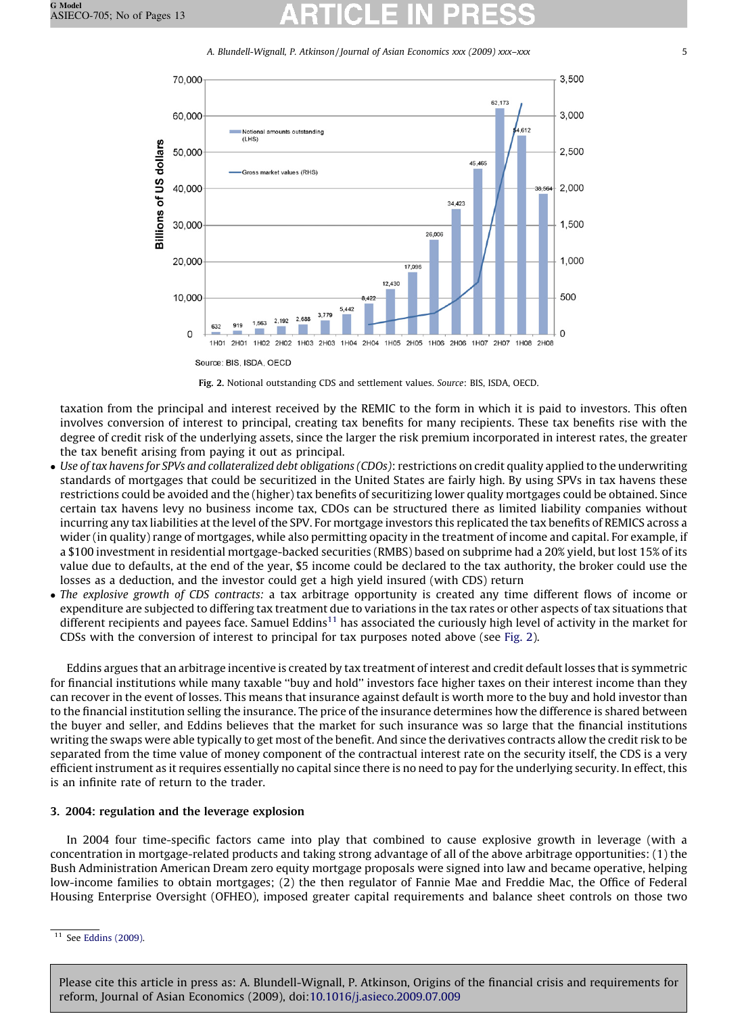A. Blundell-Wignall, P. Atkinson / Journal of Asian Economics xxx (2009) xxx–xxx 5





taxation from the principal and interest received by the REMIC to the form in which it is paid to investors. This often involves conversion of interest to principal, creating tax benefits for many recipients. These tax benefits rise with the degree of credit risk of the underlying assets, since the larger the risk premium incorporated in interest rates, the greater the tax benefit arising from paying it out as principal.

- Use of tax havens for SPVs and collateralized debt obligations (CDOs): restrictions on credit quality applied to the underwriting standards of mortgages that could be securitized in the United States are fairly high. By using SPVs in tax havens these restrictions could be avoided and the (higher) tax benefits of securitizing lower quality mortgages could be obtained. Since certain tax havens levy no business income tax, CDOs can be structured there as limited liability companies without incurring any tax liabilities at the level of the SPV. For mortgage investors this replicated the tax benefits of REMICS across a wider (in quality) range of mortgages, while also permitting opacity in the treatment of income and capital. For example, if a \$100 investment in residential mortgage-backed securities (RMBS) based on subprime had a 20% yield, but lost 15% of its value due to defaults, at the end of the year, \$5 income could be declared to the tax authority, the broker could use the losses as a deduction, and the investor could get a high yield insured (with CDS) return
- The explosive growth of CDS contracts: a tax arbitrage opportunity is created any time different flows of income or expenditure are subjected to differing tax treatment due to variations in the tax rates or other aspects of tax situations that different recipients and payees face. Samuel Eddins<sup>11</sup> has associated the curiously high level of activity in the market for CDSs with the conversion of interest to principal for tax purposes noted above (see Fig. 2).

Eddins argues that an arbitrage incentive is created by tax treatment of interest and credit default losses that is symmetric for financial institutions while many taxable ''buy and hold'' investors face higher taxes on their interest income than they can recover in the event of losses. This means that insurance against default is worth more to the buy and hold investor than to the financial institution selling the insurance. The price of the insurance determines how the difference is shared between the buyer and seller, and Eddins believes that the market for such insurance was so large that the financial institutions writing the swaps were able typically to get most of the benefit. And since the derivatives contracts allow the credit risk to be separated from the time value of money component of the contractual interest rate on the security itself, the CDS is a very efficient instrument as it requires essentially no capital since there is no need to pay for the underlying security. In effect, this is an infinite rate of return to the trader.

## 3. 2004: regulation and the leverage explosion

In 2004 four time-specific factors came into play that combined to cause explosive growth in leverage (with a concentration in mortgage-related products and taking strong advantage of all of the above arbitrage opportunities: (1) the Bush Administration American Dream zero equity mortgage proposals were signed into law and became operative, helping low-income families to obtain mortgages; (2) the then regulator of Fannie Mae and Freddie Mac, the Office of Federal Housing Enterprise Oversight (OFHEO), imposed greater capital requirements and balance sheet controls on those two

 $11$  See [Eddins \(2009\)](#page-12-0).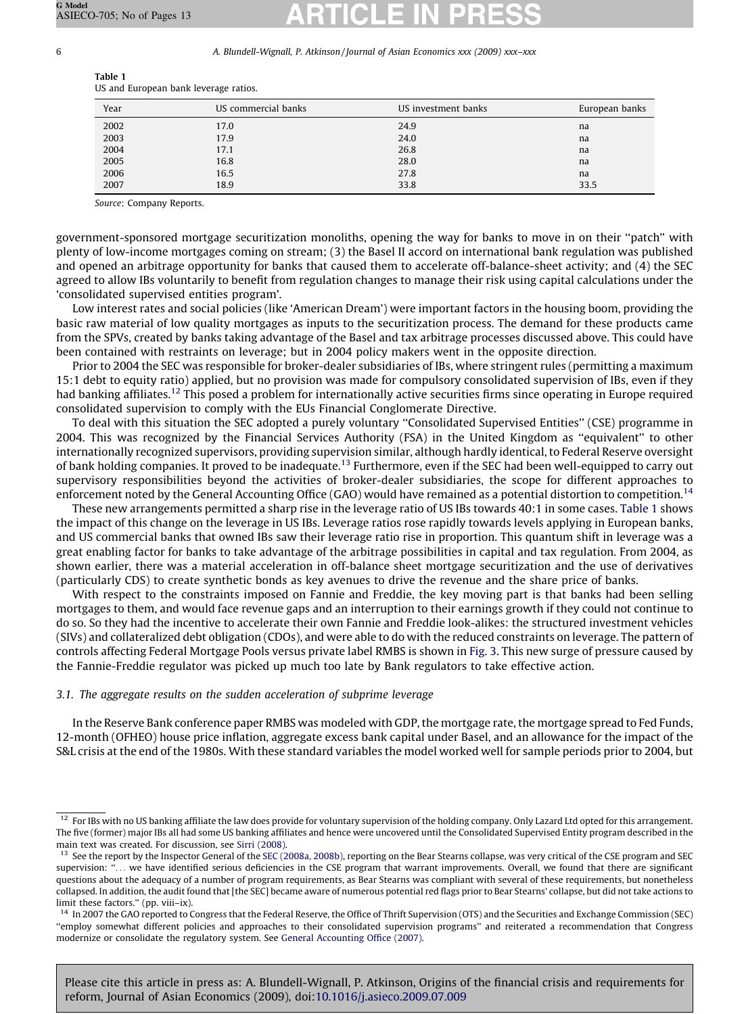| Table 1                               |  |
|---------------------------------------|--|
| US and European bank leverage ratios. |  |

| Year | US commercial banks | US investment banks | European banks |
|------|---------------------|---------------------|----------------|
| 2002 | 17.0                | 24.9                | na             |
| 2003 | 17.9                | 24.0                | na             |
| 2004 | 17.1                | 26.8                | na             |
| 2005 | 16.8                | 28.0                | na             |
| 2006 | 16.5                | 27.8                | na             |
| 2007 | 18.9                | 33.8                | 33.5           |

Source: Company Reports.

government-sponsored mortgage securitization monoliths, opening the way for banks to move in on their ''patch'' with plenty of low-income mortgages coming on stream; (3) the Basel II accord on international bank regulation was published and opened an arbitrage opportunity for banks that caused them to accelerate off-balance-sheet activity; and (4) the SEC agreed to allow IBs voluntarily to benefit from regulation changes to manage their risk using capital calculations under the 'consolidated supervised entities program'.

Low interest rates and social policies (like 'American Dream') were important factors in the housing boom, providing the basic raw material of low quality mortgages as inputs to the securitization process. The demand for these products came from the SPVs, created by banks taking advantage of the Basel and tax arbitrage processes discussed above. This could have been contained with restraints on leverage; but in 2004 policy makers went in the opposite direction.

Prior to 2004 the SEC was responsible for broker-dealer subsidiaries of IBs, where stringent rules (permitting a maximum 15:1 debt to equity ratio) applied, but no provision was made for compulsory consolidated supervision of IBs, even if they had banking affiliates.<sup>12</sup> This posed a problem for internationally active securities firms since operating in Europe required consolidated supervision to comply with the EUs Financial Conglomerate Directive.

To deal with this situation the SEC adopted a purely voluntary ''Consolidated Supervised Entities'' (CSE) programme in 2004. This was recognized by the Financial Services Authority (FSA) in the United Kingdom as ''equivalent'' to other internationally recognized supervisors, providing supervision similar, although hardly identical, to Federal Reserve oversight of bank holding companies. It proved to be inadequate.13 Furthermore, even if the SEC had been well-equipped to carry out supervisory responsibilities beyond the activities of broker-dealer subsidiaries, the scope for different approaches to enforcement noted by the General Accounting Office (GAO) would have remained as a potential distortion to competition.<sup>14</sup>

These new arrangements permitted a sharp rise in the leverage ratio of US IBs towards 40:1 in some cases. Table 1 shows the impact of this change on the leverage in US IBs. Leverage ratios rose rapidly towards levels applying in European banks, and US commercial banks that owned IBs saw their leverage ratio rise in proportion. This quantum shift in leverage was a great enabling factor for banks to take advantage of the arbitrage possibilities in capital and tax regulation. From 2004, as shown earlier, there was a material acceleration in off-balance sheet mortgage securitization and the use of derivatives (particularly CDS) to create synthetic bonds as key avenues to drive the revenue and the share price of banks.

With respect to the constraints imposed on Fannie and Freddie, the key moving part is that banks had been selling mortgages to them, and would face revenue gaps and an interruption to their earnings growth if they could not continue to do so. So they had the incentive to accelerate their own Fannie and Freddie look-alikes: the structured investment vehicles (SIVs) and collateralized debt obligation (CDOs), and were able to do with the reduced constraints on leverage. The pattern of controls affecting Federal Mortgage Pools versus private label RMBS is shown in [Fig. 3.](#page-6-0) This new surge of pressure caused by the Fannie-Freddie regulator was picked up much too late by Bank regulators to take effective action.

# 3.1. The aggregate results on the sudden acceleration of subprime leverage

In the Reserve Bank conference paper RMBS was modeled with GDP, the mortgage rate, the mortgage spread to Fed Funds, 12-month (OFHEO) house price inflation, aggregate excess bank capital under Basel, and an allowance for the impact of the S&L crisis at the end of the 1980s. With these standard variables the model worked well for sample periods prior to 2004, but

<sup>&</sup>lt;sup>12</sup> For IBs with no US banking affiliate the law does provide for voluntary supervision of the holding company. Only Lazard Ltd opted for this arrangement. The five (former) major IBs all had some US banking affiliates and hence were uncovered until the Consolidated Supervised Entity program described in the main text was created. For discussion, see [Sirri \(2008\).](#page-12-0)

<sup>&</sup>lt;sup>13</sup> See the report by the Inspector General of the [SEC \(2008a, 2008b\)](#page-12-0), reporting on the Bear Stearns collapse, was very critical of the CSE program and SEC supervision: ''... we have identified serious deficiencies in the CSE program that warrant improvements. Overall, we found that there are significant questions about the adequacy of a number of program requirements, as Bear Stearns was compliant with several of these requirements, but nonetheless collapsed. In addition, the audit found that [the SEC] became aware of numerous potential red flags prior to Bear Stearns' collapse, but did not take actions to limit these factors.'' (pp. viii–ix).

<sup>&</sup>lt;sup>14</sup> In 2007 the GAO reported to Congress that the Federal Reserve, the Office of Thrift Supervision (OTS) and the Securities and Exchange Commission (SEC) ''employ somewhat different policies and approaches to their consolidated supervision programs'' and reiterated a recommendation that Congress modernize or consolidate the regulatory system. See [General Accounting Office \(2007\).](#page-12-0)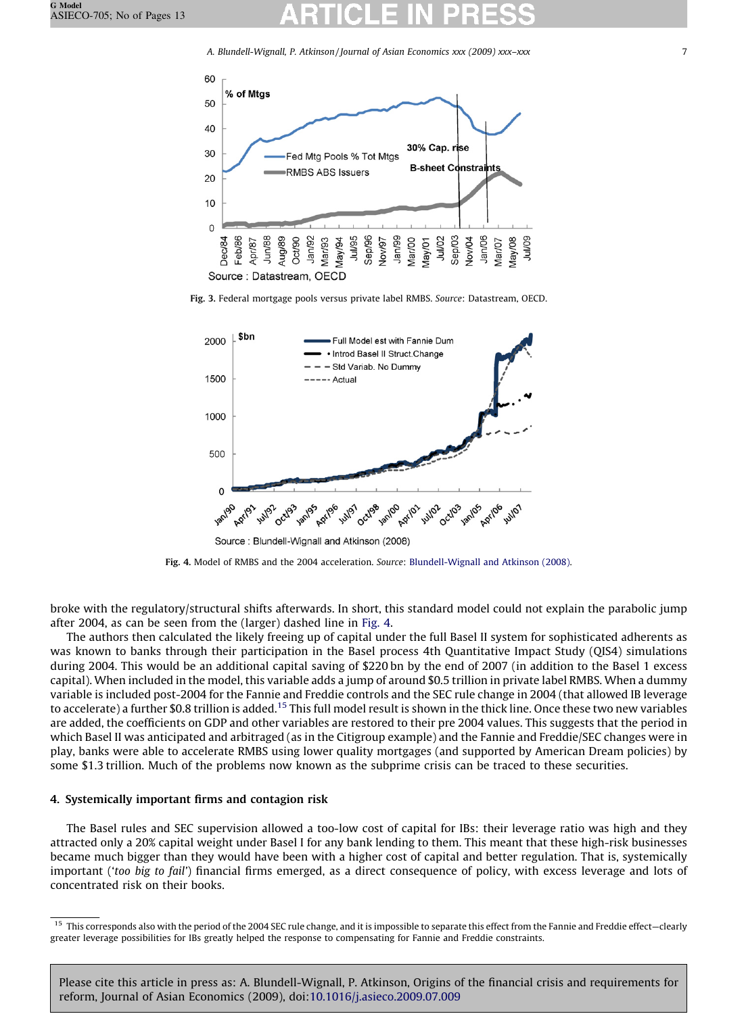A. Blundell-Wignall, P. Atkinson / Journal of Asian Economics xxx (2009) xxx–xxx 7

<span id="page-6-0"></span>

Fig. 3. Federal mortgage pools versus private label RMBS. Source: Datastream, OECD.



Source: Blundell-Wignall and Atkinson (2008)

Fig. 4. Model of RMBS and the 2004 acceleration. Source: [Blundell-Wignall and Atkinson \(2008\)](#page-12-0).

broke with the regulatory/structural shifts afterwards. In short, this standard model could not explain the parabolic jump after 2004, as can be seen from the (larger) dashed line in Fig. 4.

The authors then calculated the likely freeing up of capital under the full Basel II system for sophisticated adherents as was known to banks through their participation in the Basel process 4th Quantitative Impact Study (QIS4) simulations during 2004. This would be an additional capital saving of \$220 bn by the end of 2007 (in addition to the Basel 1 excess capital). When included in the model, this variable adds a jump of around \$0.5 trillion in private label RMBS. When a dummy variable is included post-2004 for the Fannie and Freddie controls and the SEC rule change in 2004 (that allowed IB leverage to accelerate) a further \$0.8 trillion is added.<sup>15</sup> This full model result is shown in the thick line. Once these two new variables are added, the coefficients on GDP and other variables are restored to their pre 2004 values. This suggests that the period in which Basel II was anticipated and arbitraged (as in the Citigroup example) and the Fannie and Freddie/SEC changes were in play, banks were able to accelerate RMBS using lower quality mortgages (and supported by American Dream policies) by some \$1.3 trillion. Much of the problems now known as the subprime crisis can be traced to these securities.

## 4. Systemically important firms and contagion risk

The Basel rules and SEC supervision allowed a too-low cost of capital for IBs: their leverage ratio was high and they attracted only a 20% capital weight under Basel I for any bank lending to them. This meant that these high-risk businesses became much bigger than they would have been with a higher cost of capital and better regulation. That is, systemically important ('too big to fail') financial firms emerged, as a direct consequence of policy, with excess leverage and lots of concentrated risk on their books.

<sup>&</sup>lt;sup>15</sup> This corresponds also with the period of the 2004 SEC rule change, and it is impossible to separate this effect from the Fannie and Freddie effect-clearly greater leverage possibilities for IBs greatly helped the response to compensating for Fannie and Freddie constraints.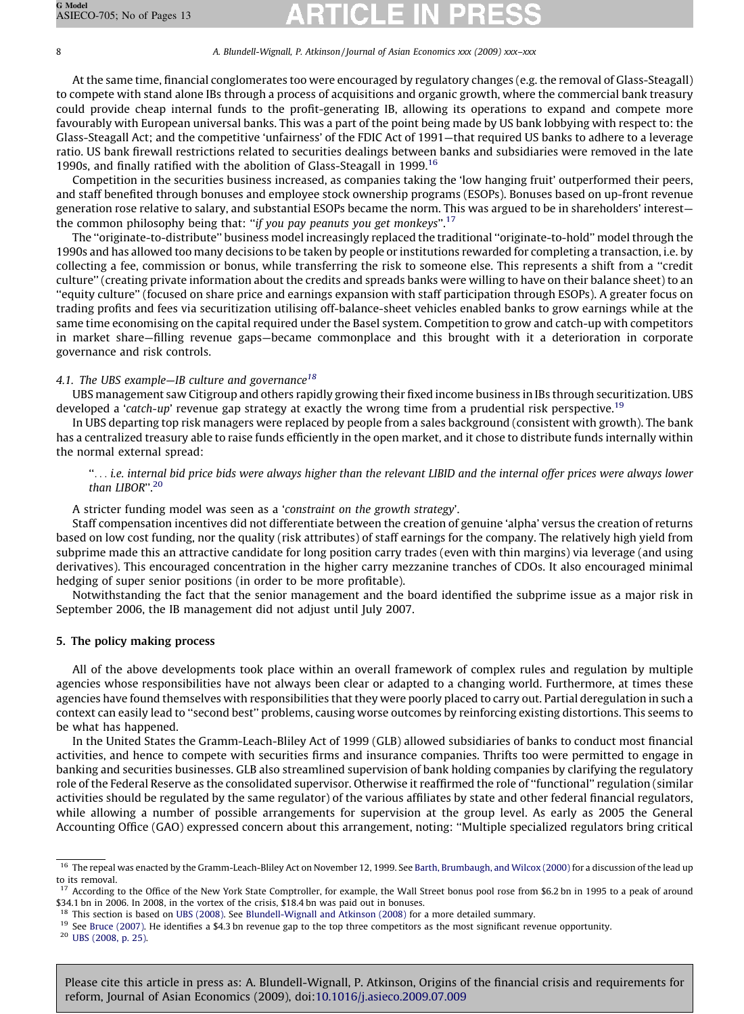At the same time, financial conglomerates too were encouraged by regulatory changes (e.g. the removal of Glass-Steagall) to compete with stand alone IBs through a process of acquisitions and organic growth, where the commercial bank treasury could provide cheap internal funds to the profit-generating IB, allowing its operations to expand and compete more favourably with European universal banks. This was a part of the point being made by US bank lobbying with respect to: the Glass-Steagall Act; and the competitive 'unfairness' of the FDIC Act of 1991—that required US banks to adhere to a leverage ratio. US bank firewall restrictions related to securities dealings between banks and subsidiaries were removed in the late 1990s, and finally ratified with the abolition of Glass-Steagall in 1999.16

Competition in the securities business increased, as companies taking the 'low hanging fruit' outperformed their peers, and staff benefited through bonuses and employee stock ownership programs (ESOPs). Bonuses based on up-front revenue generation rose relative to salary, and substantial ESOPs became the norm. This was argued to be in shareholders' interest the common philosophy being that: "if you pay peanuts you get monkeys".<sup>17</sup>

The ''originate-to-distribute'' business model increasingly replaced the traditional ''originate-to-hold'' model through the 1990s and has allowed too many decisions to be taken by people or institutions rewarded for completing a transaction, i.e. by collecting a fee, commission or bonus, while transferring the risk to someone else. This represents a shift from a ''credit culture'' (creating private information about the credits and spreads banks were willing to have on their balance sheet) to an ''equity culture'' (focused on share price and earnings expansion with staff participation through ESOPs). A greater focus on trading profits and fees via securitization utilising off-balance-sheet vehicles enabled banks to grow earnings while at the same time economising on the capital required under the Basel system. Competition to grow and catch-up with competitors in market share—filling revenue gaps—became commonplace and this brought with it a deterioration in corporate governance and risk controls.

# 4.1. The UBS example-IB culture and governance<sup>18</sup>

UBS management saw Citigroup and others rapidly growing their fixed income business in IBs through securitization. UBS developed a 'catch-up' revenue gap strategy at exactly the wrong time from a prudential risk perspective.<sup>19</sup>

In UBS departing top risk managers were replaced by people from a sales background (consistent with growth). The bank has a centralized treasury able to raise funds efficiently in the open market, and it chose to distribute funds internally within the normal external spread:

''... i.e. internal bid price bids were always higher than the relevant LIBID and the internal offer prices were always lower than LIBOR''.<sup>20</sup>

A stricter funding model was seen as a 'constraint on the growth strategy'.

Staff compensation incentives did not differentiate between the creation of genuine 'alpha' versus the creation of returns based on low cost funding, nor the quality (risk attributes) of staff earnings for the company. The relatively high yield from subprime made this an attractive candidate for long position carry trades (even with thin margins) via leverage (and using derivatives). This encouraged concentration in the higher carry mezzanine tranches of CDOs. It also encouraged minimal hedging of super senior positions (in order to be more profitable).

Notwithstanding the fact that the senior management and the board identified the subprime issue as a major risk in September 2006, the IB management did not adjust until July 2007.

# 5. The policy making process

All of the above developments took place within an overall framework of complex rules and regulation by multiple agencies whose responsibilities have not always been clear or adapted to a changing world. Furthermore, at times these agencies have found themselves with responsibilities that they were poorly placed to carry out. Partial deregulation in such a context can easily lead to ''second best'' problems, causing worse outcomes by reinforcing existing distortions. This seems to be what has happened.

In the United States the Gramm-Leach-Bliley Act of 1999 (GLB) allowed subsidiaries of banks to conduct most financial activities, and hence to compete with securities firms and insurance companies. Thrifts too were permitted to engage in banking and securities businesses. GLB also streamlined supervision of bank holding companies by clarifying the regulatory role of the Federal Reserve as the consolidated supervisor. Otherwise it reaffirmed the role of ''functional'' regulation (similar activities should be regulated by the same regulator) of the various affiliates by state and other federal financial regulators, while allowing a number of possible arrangements for supervision at the group level. As early as 2005 the General Accounting Office (GAO) expressed concern about this arrangement, noting: ''Multiple specialized regulators bring critical

<sup>&</sup>lt;sup>16</sup> The repeal was enacted by the Gramm-Leach-Bliley Act on November 12, 1999. See [Barth, Brumbaugh, and Wilcox \(2000\)](#page-11-0) for a discussion of the lead up to its removal.

<sup>&</sup>lt;sup>17</sup> According to the Office of the New York State Comptroller, for example, the Wall Street bonus pool rose from \$6.2 bn in 1995 to a peak of around \$34.1 bn in 2006. In 2008, in the vortex of the crisis, \$18.4 bn was paid out in bonuses.

<sup>18</sup> This section is based on [UBS \(2008\).](#page-12-0) See [Blundell-Wignall and Atkinson \(2008\)](#page-12-0) for a more detailed summary.

<sup>&</sup>lt;sup>19</sup> See [Bruce \(2007\)](#page-12-0). He identifies a \$4.3 bn revenue gap to the top three competitors as the most significant revenue opportunity.

<sup>20</sup> [UBS \(2008, p. 25\).](#page-12-0)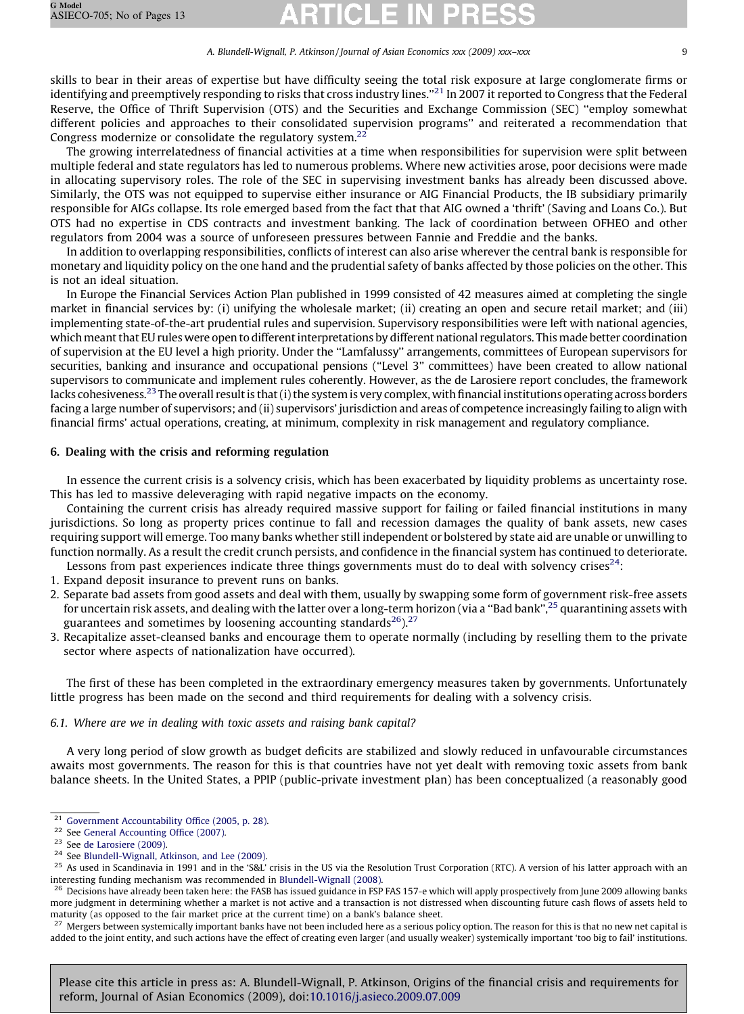skills to bear in their areas of expertise but have difficulty seeing the total risk exposure at large conglomerate firms or identifying and preemptively responding to risks that cross industry lines."<sup>21</sup> In 2007 it reported to Congress that the Federal Reserve, the Office of Thrift Supervision (OTS) and the Securities and Exchange Commission (SEC) ''employ somewhat different policies and approaches to their consolidated supervision programs'' and reiterated a recommendation that Congress modernize or consolidate the regulatory system.<sup>22</sup>

The growing interrelatedness of financial activities at a time when responsibilities for supervision were split between multiple federal and state regulators has led to numerous problems. Where new activities arose, poor decisions were made in allocating supervisory roles. The role of the SEC in supervising investment banks has already been discussed above. Similarly, the OTS was not equipped to supervise either insurance or AIG Financial Products, the IB subsidiary primarily responsible for AIGs collapse. Its role emerged based from the fact that that AIG owned a 'thrift' (Saving and Loans Co.). But OTS had no expertise in CDS contracts and investment banking. The lack of coordination between OFHEO and other regulators from 2004 was a source of unforeseen pressures between Fannie and Freddie and the banks.

In addition to overlapping responsibilities, conflicts of interest can also arise wherever the central bank is responsible for monetary and liquidity policy on the one hand and the prudential safety of banks affected by those policies on the other. This is not an ideal situation.

In Europe the Financial Services Action Plan published in 1999 consisted of 42 measures aimed at completing the single market in financial services by: (i) unifying the wholesale market; (ii) creating an open and secure retail market; and (iii) implementing state-of-the-art prudential rules and supervision. Supervisory responsibilities were left with national agencies, whichmeant that EU rules were open to different interpretations by different national regulators. This made better coordination of supervision at the EU level a high priority. Under the ''Lamfalussy'' arrangements, committees of European supervisors for securities, banking and insurance and occupational pensions (''Level 3'' committees) have been created to allow national supervisors to communicate and implement rules coherently. However, as the de Larosiere report concludes, the framework lacks cohesiveness.<sup>23</sup> The overall result is that (i) the system is very complex, with financial institutions operating across borders facing a large number of supervisors; and (ii) supervisors' jurisdiction and areas of competence increasingly failing to align with financial firms' actual operations, creating, at minimum, complexity in risk management and regulatory compliance.

# 6. Dealing with the crisis and reforming regulation

In essence the current crisis is a solvency crisis, which has been exacerbated by liquidity problems as uncertainty rose. This has led to massive deleveraging with rapid negative impacts on the economy.

Containing the current crisis has already required massive support for failing or failed financial institutions in many jurisdictions. So long as property prices continue to fall and recession damages the quality of bank assets, new cases requiring support will emerge. Too many banks whether still independent or bolstered by state aid are unable or unwilling to function normally. As a result the credit crunch persists, and confidence in the financial system has continued to deteriorate. Lessons from past experiences indicate three things governments must do to deal with solvency crises<sup>24</sup>:

- 
- 1. Expand deposit insurance to prevent runs on banks.
- 2. Separate bad assets from good assets and deal with them, usually by swapping some form of government risk-free assets for uncertain risk assets, and dealing with the latter over a long-term horizon (via a "Bad bank",<sup>25</sup> quarantining assets with guarantees and sometimes by loosening accounting standards $^{26}$ ).<sup>27</sup>
- 3. Recapitalize asset-cleansed banks and encourage them to operate normally (including by reselling them to the private sector where aspects of nationalization have occurred).

The first of these has been completed in the extraordinary emergency measures taken by governments. Unfortunately little progress has been made on the second and third requirements for dealing with a solvency crisis.

# 6.1. Where are we in dealing with toxic assets and raising bank capital?

A very long period of slow growth as budget deficits are stabilized and slowly reduced in unfavourable circumstances awaits most governments. The reason for this is that countries have not yet dealt with removing toxic assets from bank balance sheets. In the United States, a PPIP (public-private investment plan) has been conceptualized (a reasonably good

<sup>27</sup> Mergers between systemically important banks have not been included here as a serious policy option. The reason for this is that no new net capital is added to the joint entity, and such actions have the effect of creating even larger (and usually weaker) systemically important 'too big to fail' institutions.

<sup>21</sup> [Government Accountability Office \(2005, p. 28\)](#page-12-0).

<sup>22</sup> See [General Accounting Office \(2007\)](#page-12-0).

<sup>23</sup> See [de Larosiere \(2009\)](#page-12-0).

<sup>24</sup> See [Blundell-Wignall, Atkinson, and Lee \(2009\)](#page-12-0).

<sup>&</sup>lt;sup>25</sup> As used in Scandinavia in 1991 and in the 'S&L' crisis in the US via the Resolution Trust Corporation (RTC). A version of his latter approach with an interesting funding mechanism was recommended in [Blundell-Wignall \(2008\).](#page-12-0)

<sup>&</sup>lt;sup>26</sup> Decisions have already been taken here: the FASB has issued guidance in FSP FAS 157-e which will apply prospectively from June 2009 allowing banks more judgment in determining whether a market is not active and a transaction is not distressed when discounting future cash flows of assets held to maturity (as opposed to the fair market price at the current time) on a bank's balance sheet.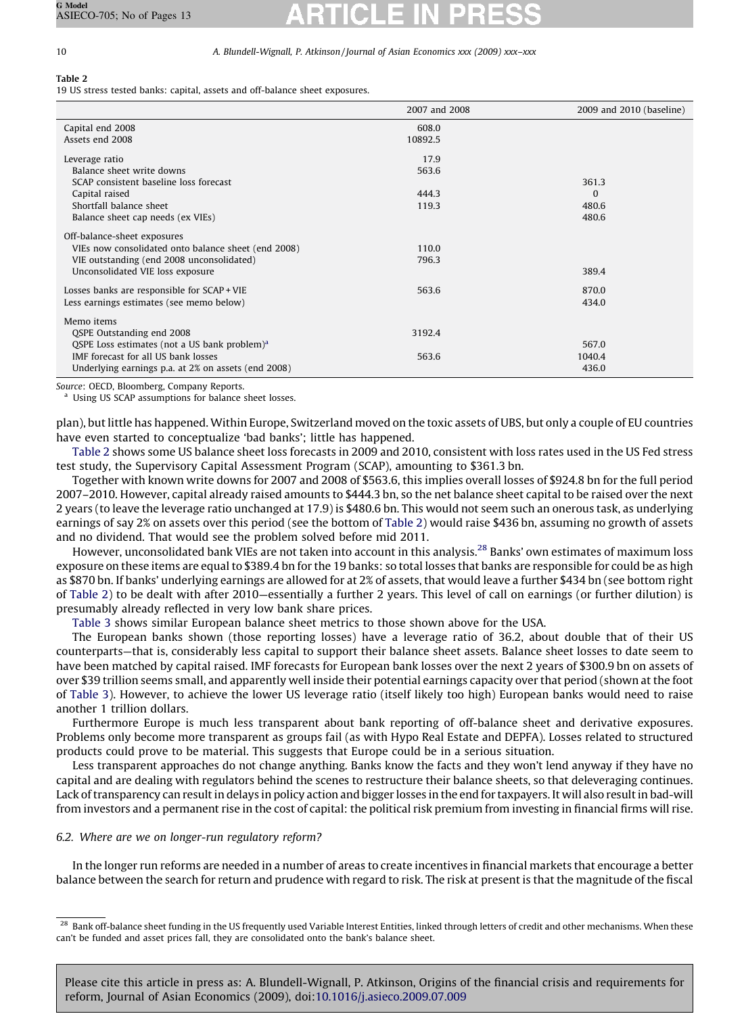# Table 2

19 US stress tested banks: capital, assets and off-balance sheet exposures.

|                                                     | 2007 and 2008 | 2009 and 2010 (baseline) |
|-----------------------------------------------------|---------------|--------------------------|
| Capital end 2008                                    | 608.0         |                          |
| Assets end 2008                                     | 10892.5       |                          |
| Leverage ratio                                      | 17.9          |                          |
| Balance sheet write downs                           | 563.6         |                          |
| SCAP consistent baseline loss forecast              |               | 361.3                    |
| Capital raised                                      | 444.3         | $\Omega$                 |
| Shortfall balance sheet                             | 119.3         | 480.6                    |
| Balance sheet cap needs (ex VIEs)                   |               | 480.6                    |
| Off-balance-sheet exposures                         |               |                          |
| VIEs now consolidated onto balance sheet (end 2008) | 110.0         |                          |
| VIE outstanding (end 2008 unconsolidated)           | 796.3         |                          |
| Unconsolidated VIE loss exposure                    |               | 389.4                    |
| Losses banks are responsible for SCAP + VIE         | 563.6         | 870.0                    |
| Less earnings estimates (see memo below)            |               | 434.0                    |
| Memo items                                          |               |                          |
| QSPE Outstanding end 2008                           | 3192.4        |                          |
| QSPE Loss estimates (not a US bank problem) $a$     |               | 567.0                    |
| IMF forecast for all US bank losses                 | 563.6         | 1040.4                   |
| Underlying earnings p.a. at 2% on assets (end 2008) |               | 436.0                    |

Source: OECD, Bloomberg, Company Reports.

Using US SCAP assumptions for balance sheet losses.

plan), but little has happened. Within Europe, Switzerland moved on the toxic assets of UBS, but only a couple of EU countries have even started to conceptualize 'bad banks'; little has happened.

Table 2 shows some US balance sheet loss forecasts in 2009 and 2010, consistent with loss rates used in the US Fed stress test study, the Supervisory Capital Assessment Program (SCAP), amounting to \$361.3 bn.

Together with known write downs for 2007 and 2008 of \$563.6, this implies overall losses of \$924.8 bn for the full period 2007–2010. However, capital already raised amounts to \$444.3 bn, so the net balance sheet capital to be raised over the next 2 years (to leave the leverage ratio unchanged at 17.9) is \$480.6 bn. This would not seem such an onerous task, as underlying earnings of say 2% on assets over this period (see the bottom of Table 2) would raise \$436 bn, assuming no growth of assets and no dividend. That would see the problem solved before mid 2011.

However, unconsolidated bank VIEs are not taken into account in this analysis.<sup>28</sup> Banks' own estimates of maximum loss exposure on these items are equal to \$389.4 bn for the 19 banks: so total losses that banks are responsible for could be as high as \$870 bn. If banks' underlying earnings are allowed for at 2% of assets, that would leave a further \$434 bn (see bottom right of Table 2) to be dealt with after 2010—essentially a further 2 years. This level of call on earnings (or further dilution) is presumably already reflected in very low bank share prices.

[Table 3](#page-10-0) shows similar European balance sheet metrics to those shown above for the USA.

The European banks shown (those reporting losses) have a leverage ratio of 36.2, about double that of their US counterparts—that is, considerably less capital to support their balance sheet assets. Balance sheet losses to date seem to have been matched by capital raised. IMF forecasts for European bank losses over the next 2 years of \$300.9 bn on assets of over \$39 trillion seems small, and apparently well inside their potential earnings capacity over that period (shown at the foot of [Table 3\)](#page-10-0). However, to achieve the lower US leverage ratio (itself likely too high) European banks would need to raise another 1 trillion dollars.

Furthermore Europe is much less transparent about bank reporting of off-balance sheet and derivative exposures. Problems only become more transparent as groups fail (as with Hypo Real Estate and DEPFA). Losses related to structured products could prove to be material. This suggests that Europe could be in a serious situation.

Less transparent approaches do not change anything. Banks know the facts and they won't lend anyway if they have no capital and are dealing with regulators behind the scenes to restructure their balance sheets, so that deleveraging continues. Lack of transparency can result in delays in policy action and bigger losses in the end for taxpayers. It will also result in bad-will from investors and a permanent rise in the cost of capital: the political risk premium from investing in financial firms will rise.

## 6.2. Where are we on longer-run regulatory reform?

In the longer run reforms are needed in a number of areas to create incentives in financial markets that encourage a better balance between the search for return and prudence with regard to risk. The risk at present is that the magnitude of the fiscal

<sup>28</sup> Bank off-balance sheet funding in the US frequently used Variable Interest Entities, linked through letters of credit and other mechanisms. When these can't be funded and asset prices fall, they are consolidated onto the bank's balance sheet.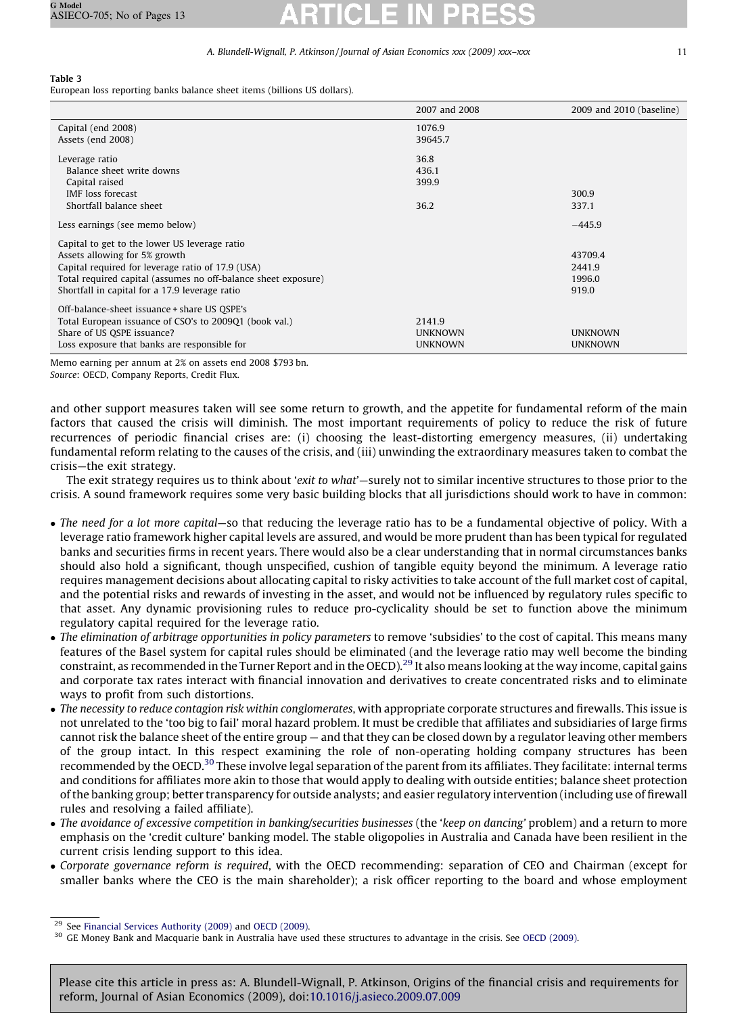### <span id="page-10-0"></span>Table 3

European loss reporting banks balance sheet items (billions US dollars).

|                                                                | 2007 and 2008     | 2009 and 2010 (baseline) |
|----------------------------------------------------------------|-------------------|--------------------------|
| Capital (end 2008)<br>Assets (end 2008)                        | 1076.9<br>39645.7 |                          |
|                                                                |                   |                          |
| Leverage ratio                                                 | 36.8              |                          |
| Balance sheet write downs                                      | 436.1             |                          |
| Capital raised<br><b>IMF</b> loss forecast                     | 399.9             |                          |
| Shortfall balance sheet                                        | 36.2              | 300.9<br>337.1           |
|                                                                |                   |                          |
| Less earnings (see memo below)                                 |                   | $-445.9$                 |
| Capital to get to the lower US leverage ratio                  |                   |                          |
| Assets allowing for 5% growth                                  |                   | 43709.4                  |
| Capital required for leverage ratio of 17.9 (USA)              |                   | 2441.9                   |
| Total required capital (assumes no off-balance sheet exposure) |                   | 1996.0                   |
| Shortfall in capital for a 17.9 leverage ratio                 |                   | 919.0                    |
| Off-balance-sheet issuance + share US OSPE's                   |                   |                          |
| Total European issuance of CSO's to 2009Q1 (book val.)         | 2141.9            |                          |
| Share of US OSPE issuance?                                     | <b>UNKNOWN</b>    | <b>UNKNOWN</b>           |
| Loss exposure that banks are responsible for                   | <b>UNKNOWN</b>    | <b>UNKNOWN</b>           |

Memo earning per annum at 2% on assets end 2008 \$793 bn. Source: OECD, Company Reports, Credit Flux.

and other support measures taken will see some return to growth, and the appetite for fundamental reform of the main factors that caused the crisis will diminish. The most important requirements of policy to reduce the risk of future recurrences of periodic financial crises are: (i) choosing the least-distorting emergency measures, (ii) undertaking fundamental reform relating to the causes of the crisis, and (iii) unwinding the extraordinary measures taken to combat the crisis—the exit strategy.

The exit strategy requires us to think about 'exit to what'—surely not to similar incentive structures to those prior to the crisis. A sound framework requires some very basic building blocks that all jurisdictions should work to have in common:

- The need for a lot more capital—so that reducing the leverage ratio has to be a fundamental objective of policy. With a leverage ratio framework higher capital levels are assured, and would be more prudent than has been typical for regulated banks and securities firms in recent years. There would also be a clear understanding that in normal circumstances banks should also hold a significant, though unspecified, cushion of tangible equity beyond the minimum. A leverage ratio requires management decisions about allocating capital to risky activities to take account of the full market cost of capital, and the potential risks and rewards of investing in the asset, and would not be influenced by regulatory rules specific to that asset. Any dynamic provisioning rules to reduce pro-cyclicality should be set to function above the minimum regulatory capital required for the leverage ratio.
- The elimination of arbitrage opportunities in policy parameters to remove 'subsidies' to the cost of capital. This means many features of the Basel system for capital rules should be eliminated (and the leverage ratio may well become the binding constraint, as recommended in the Turner Report and in the OECD).<sup>29</sup> It also means looking at the way income, capital gains and corporate tax rates interact with financial innovation and derivatives to create concentrated risks and to eliminate ways to profit from such distortions.
- The necessity to reduce contagion risk within conglomerates, with appropriate corporate structures and firewalls. This issue is not unrelated to the 'too big to fail' moral hazard problem. It must be credible that affiliates and subsidiaries of large firms cannot risk the balance sheet of the entire group — and that they can be closed down by a regulator leaving other members of the group intact. In this respect examining the role of non-operating holding company structures has been recommended by the OECD.<sup>30</sup> These involve legal separation of the parent from its affiliates. They facilitate: internal terms and conditions for affiliates more akin to those that would apply to dealing with outside entities; balance sheet protection of the banking group; better transparency for outside analysts; and easier regulatory intervention (including use of firewall rules and resolving a failed affiliate).
- The avoidance of excessive competition in banking/securities businesses (the 'keep on dancing' problem) and a return to more emphasis on the 'credit culture' banking model. The stable oligopolies in Australia and Canada have been resilient in the current crisis lending support to this idea.
- Corporate governance reform is required, with the OECD recommending: separation of CEO and Chairman (except for smaller banks where the CEO is the main shareholder); a risk officer reporting to the board and whose employment

<sup>29</sup> See [Financial Services Authority \(2009\)](#page-12-0) and [OECD \(2009\)](#page-12-0).

<sup>&</sup>lt;sup>30</sup> GE Money Bank and Macquarie bank in Australia have used these structures to advantage in the crisis. See [OECD \(2009\)](#page-12-0).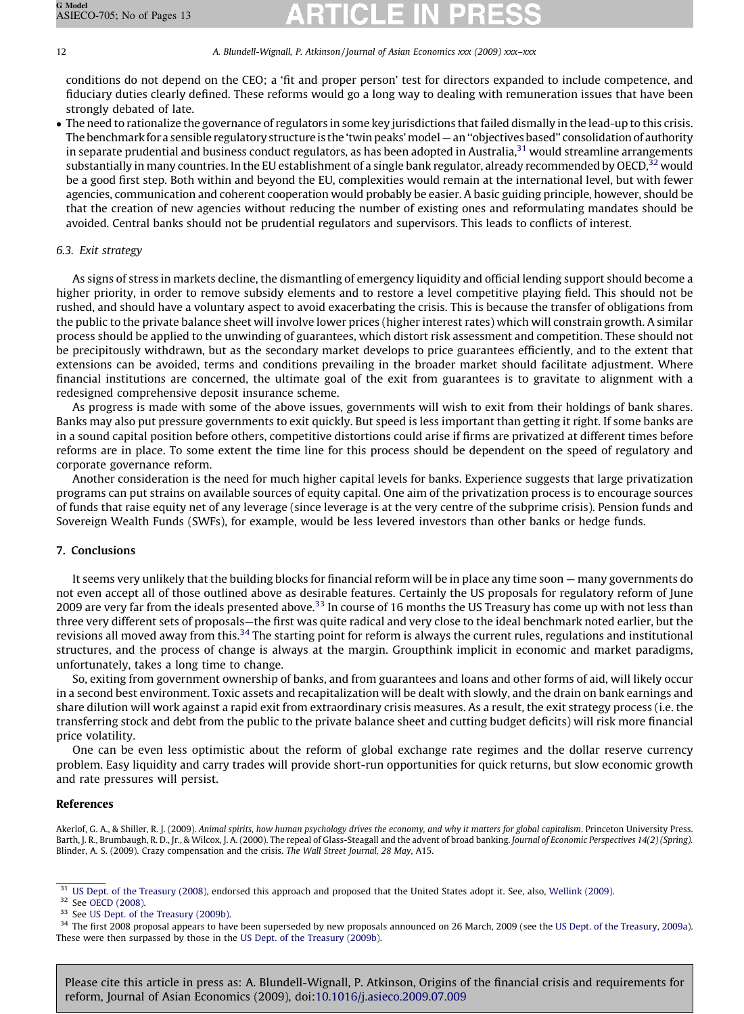conditions do not depend on the CEO; a 'fit and proper person' test for directors expanded to include competence, and fiduciary duties clearly defined. These reforms would go a long way to dealing with remuneration issues that have been strongly debated of late.

 The need to rationalize the governance of regulators in some key jurisdictions that failed dismally in the lead-up to this crisis. The benchmark for a sensible regulatory structure is the 'twin peaks'model— an ''objectives based'' consolidation of authority in separate prudential and business conduct regulators, as has been adopted in Australia, $31$  would streamline arrangements substantially in many countries. In the EU establishment of a single bank regulator, already recommended by OECD, $^{32}$  would be a good first step. Both within and beyond the EU, complexities would remain at the international level, but with fewer agencies, communication and coherent cooperation would probably be easier. A basic guiding principle, however, should be that the creation of new agencies without reducing the number of existing ones and reformulating mandates should be avoided. Central banks should not be prudential regulators and supervisors. This leads to conflicts of interest.

# 6.3. Exit strategy

As signs of stress in markets decline, the dismantling of emergency liquidity and official lending support should become a higher priority, in order to remove subsidy elements and to restore a level competitive playing field. This should not be rushed, and should have a voluntary aspect to avoid exacerbating the crisis. This is because the transfer of obligations from the public to the private balance sheet will involve lower prices (higher interest rates) which will constrain growth. A similar process should be applied to the unwinding of guarantees, which distort risk assessment and competition. These should not be precipitously withdrawn, but as the secondary market develops to price guarantees efficiently, and to the extent that extensions can be avoided, terms and conditions prevailing in the broader market should facilitate adjustment. Where financial institutions are concerned, the ultimate goal of the exit from guarantees is to gravitate to alignment with a redesigned comprehensive deposit insurance scheme.

As progress is made with some of the above issues, governments will wish to exit from their holdings of bank shares. Banks may also put pressure governments to exit quickly. But speed is less important than getting it right. If some banks are in a sound capital position before others, competitive distortions could arise if firms are privatized at different times before reforms are in place. To some extent the time line for this process should be dependent on the speed of regulatory and corporate governance reform.

Another consideration is the need for much higher capital levels for banks. Experience suggests that large privatization programs can put strains on available sources of equity capital. One aim of the privatization process is to encourage sources of funds that raise equity net of any leverage (since leverage is at the very centre of the subprime crisis). Pension funds and Sovereign Wealth Funds (SWFs), for example, would be less levered investors than other banks or hedge funds.

# 7. Conclusions

It seems very unlikely that the building blocks for financial reform will be in place any time soon — many governments do not even accept all of those outlined above as desirable features. Certainly the US proposals for regulatory reform of June 2009 are very far from the ideals presented above.<sup>33</sup> In course of 16 months the US Treasury has come up with not less than three very different sets of proposals—the first was quite radical and very close to the ideal benchmark noted earlier, but the revisions all moved away from this.<sup>34</sup> The starting point for reform is always the current rules, regulations and institutional structures, and the process of change is always at the margin. Groupthink implicit in economic and market paradigms, unfortunately, takes a long time to change.

So, exiting from government ownership of banks, and from guarantees and loans and other forms of aid, will likely occur in a second best environment. Toxic assets and recapitalization will be dealt with slowly, and the drain on bank earnings and share dilution will work against a rapid exit from extraordinary crisis measures. As a result, the exit strategy process (i.e. the transferring stock and debt from the public to the private balance sheet and cutting budget deficits) will risk more financial price volatility.

One can be even less optimistic about the reform of global exchange rate regimes and the dollar reserve currency problem. Easy liquidity and carry trades will provide short-run opportunities for quick returns, but slow economic growth and rate pressures will persist.

# References

Akerlof, G. A., & Shiller, R. J. (2009). Animal spirits, how human psychology drives the economy, and why it matters for global capitalism. Princeton University Press. Barth, J. R., Brumbaugh, R. D., Jr., & Wilcox, J. A. (2000). The repeal of Glass-Steagall and the advent of broad banking. Journal of Economic Perspectives 14(2) (Spring). Blinder, A. S. (2009). Crazy compensation and the crisis. The Wall Street Journal, 28 May, A15.

<sup>34</sup> The first 2008 proposal appears to have been superseded by new proposals announced on 26 March, 2009 (see the [US Dept. of the Treasury, 2009a](#page-12-0)). These were then surpassed by those in the [US Dept. of the Treasury \(2009b\)](#page-12-0).

<span id="page-11-0"></span>

<sup>&</sup>lt;sup>31</sup> [US Dept. of the Treasury \(2008\)](#page-12-0), endorsed this approach and proposed that the United States adopt it. See, also, [Wellink \(2009\)](#page-12-0).

<sup>&</sup>lt;sup>32</sup> See [OECD \(2008\)](#page-12-0).

<sup>&</sup>lt;sup>33</sup> See [US Dept. of the Treasury \(2009b\).](#page-12-0)